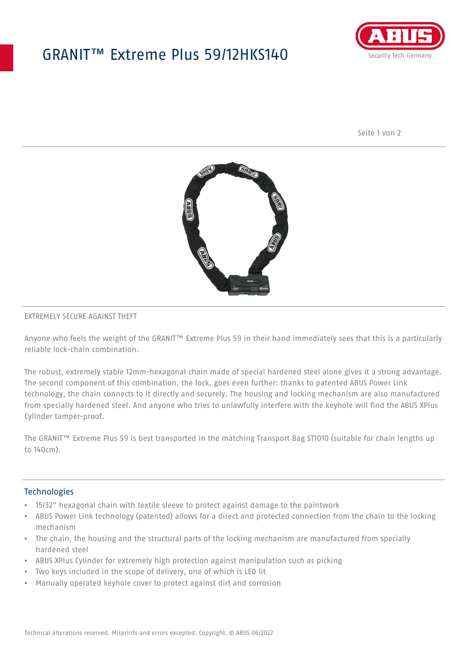## GRANIT™ Extreme Plus 59/12HKS140



Seite 1 von 2



### EXTREMELY SECURE AGAINST THEFT

Anyone who feels the weight of the GRANIT™ Extreme Plus 59 in their hand immediately sees that this is a particularly reliable lock-chain combination.

The robust, extremely stable 12mm-hexagonal chain made of special hardened steel alone gives it a strong advantage. The second component of this combination, the lock, goes even further: thanks to patented ABUS Power Link technology, the chain connects to it directly and securely. The housing and locking mechanism are also manufactured from specially hardened steel. And anyone who tries to unlawfully interfere with the keyhole will find the ABUS XPlus Cylinder tamper-proof.

The GRANIT™ Extreme Plus 59 is best transported in the matching Transport Bag ST1010 (suitable for chain lengths up to 140cm).

#### **Technologies**

- 15/32" hexagonal chain with textile sleeve to protect against damage to the paintwork
- ABUS Power Link technology (patented) allows for a direct and protected connection from the chain to the locking mechanism
- The chain, the housing and the structural parts of the locking mechanism are manufactured from specially hardened steel
- ABUS XPlus Cylinder for extremely high protection against manipulation such as picking
- Two keys included in the scope of delivery, one of which is LED lit
- Manually operated keyhole cover to protect against dirt and corrosion